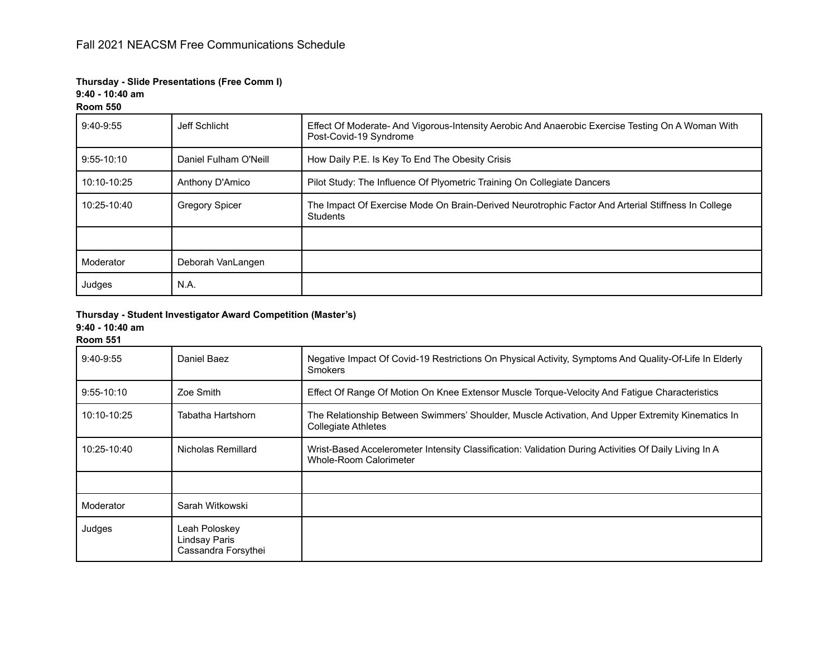# **Thursday - Slide Presentations (Free Comm I)**

**9:40 - 10:40 am**

## **Room 550**

| $9:40-9:55$  | Jeff Schlicht         | Effect Of Moderate- And Vigorous-Intensity Aerobic And Anaerobic Exercise Testing On A Woman With<br>Post-Covid-19 Syndrome |  |
|--------------|-----------------------|-----------------------------------------------------------------------------------------------------------------------------|--|
| $9:55-10:10$ | Daniel Fulham O'Neill | How Daily P.E. Is Key To End The Obesity Crisis                                                                             |  |
| 10:10-10:25  | Anthony D'Amico       | Pilot Study: The Influence Of Plyometric Training On Collegiate Dancers                                                     |  |
| 10:25-10:40  | <b>Gregory Spicer</b> | The Impact Of Exercise Mode On Brain-Derived Neurotrophic Factor And Arterial Stiffness In College<br>Students              |  |
|              |                       |                                                                                                                             |  |
| Moderator    | Deborah VanLangen     |                                                                                                                             |  |
| Judges       | N.A.                  |                                                                                                                             |  |

**Thursday - Student Investigator Award Competition (Master's)**

**9:40 - 10:40 am**

**Room 551**

| 9:40-9:55    | Daniel Baez                                           | Negative Impact Of Covid-19 Restrictions On Physical Activity, Symptoms And Quality-Of-Life In Elderly<br><b>Smokers</b>        |
|--------------|-------------------------------------------------------|---------------------------------------------------------------------------------------------------------------------------------|
| $9:55-10:10$ | Zoe Smith                                             | Effect Of Range Of Motion On Knee Extensor Muscle Torque-Velocity And Fatigue Characteristics                                   |
| 10:10-10:25  | Tabatha Hartshorn                                     | The Relationship Between Swimmers' Shoulder, Muscle Activation, And Upper Extremity Kinematics In<br><b>Collegiate Athletes</b> |
| 10:25-10:40  | Nicholas Remillard                                    | Wrist-Based Accelerometer Intensity Classification: Validation During Activities Of Daily Living In A<br>Whole-Room Calorimeter |
|              |                                                       |                                                                                                                                 |
| Moderator    | Sarah Witkowski                                       |                                                                                                                                 |
| Judges       | Leah Poloskey<br>Lindsay Paris<br>Cassandra Forsythei |                                                                                                                                 |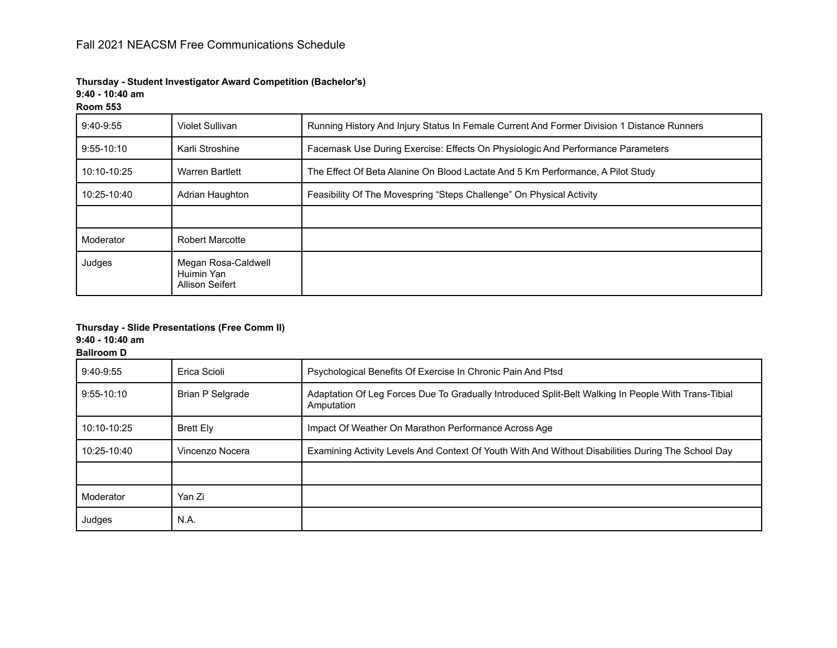**Thursday - Student Investigator Award Competition (Bachelor's)**

**9:40 - 10:40 am**

| Room ! |  |
|--------|--|
|        |  |

| $9:40-9:55$  | Violet Sullivan                                      | Running History And Injury Status In Female Current And Former Division 1 Distance Runners |
|--------------|------------------------------------------------------|--------------------------------------------------------------------------------------------|
| $9:55-10:10$ | Karli Stroshine                                      | Facemask Use During Exercise: Effects On Physiologic And Performance Parameters            |
| 10:10-10:25  | <b>Warren Bartlett</b>                               | The Effect Of Beta Alanine On Blood Lactate And 5 Km Performance, A Pilot Study            |
| 10:25-10:40  | Adrian Haughton                                      | Feasibility Of The Movespring "Steps Challenge" On Physical Activity                       |
|              |                                                      |                                                                                            |
| Moderator    | <b>Robert Marcotte</b>                               |                                                                                            |
| Judges       | Megan Rosa-Caldwell<br>Huimin Yan<br>Allison Seifert |                                                                                            |

# **Thursday - Slide Presentations (Free Comm II)**

**9:40 - 10:40 am**

**Ballroom D**

| $9:40-9:55$  | Erica Scioli            | Psychological Benefits Of Exercise In Chronic Pain And Ptsd                                                       |
|--------------|-------------------------|-------------------------------------------------------------------------------------------------------------------|
| $9:55-10:10$ | <b>Brian P Selgrade</b> | Adaptation Of Leg Forces Due To Gradually Introduced Split-Belt Walking In People With Trans-Tibial<br>Amputation |
| 10:10-10:25  | <b>Brett Elv</b>        | Impact Of Weather On Marathon Performance Across Age                                                              |
| 10:25-10:40  | Vincenzo Nocera         | Examining Activity Levels And Context Of Youth With And Without Disabilities During The School Day                |
|              |                         |                                                                                                                   |
| Moderator    | Yan Zi                  |                                                                                                                   |
| Judges       | N.A.                    |                                                                                                                   |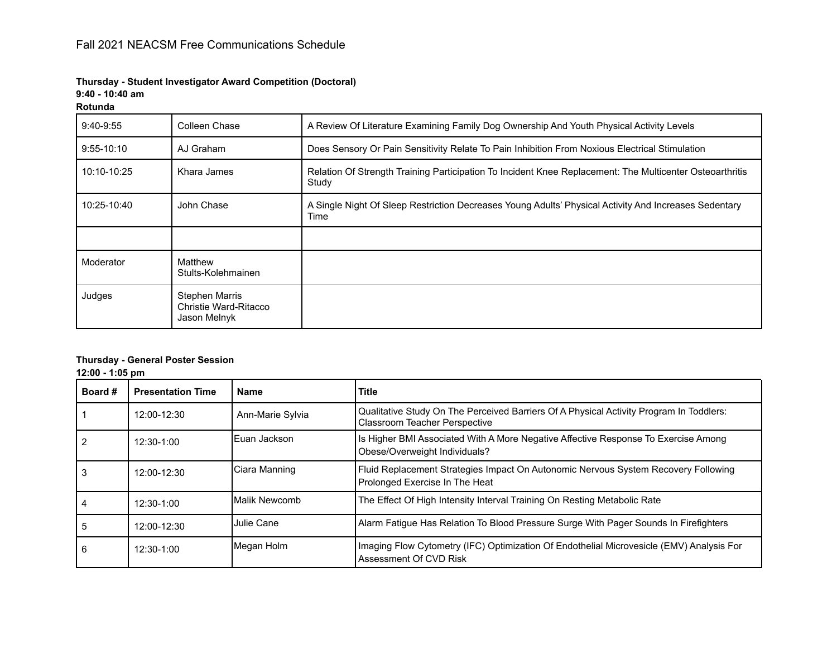# **Thursday - Student Investigator Award Competition (Doctoral)**

**9:40 - 10:40 am**

#### **Rotunda**

| $9:40-9:55$    | Colleen Chase                                           | A Review Of Literature Examining Family Dog Ownership And Youth Physical Activity Levels                          |
|----------------|---------------------------------------------------------|-------------------------------------------------------------------------------------------------------------------|
| $9:55 - 10:10$ | AJ Graham                                               | Does Sensory Or Pain Sensitivity Relate To Pain Inhibition From Noxious Electrical Stimulation                    |
| 10:10-10:25    | Khara James                                             | Relation Of Strength Training Participation To Incident Knee Replacement: The Multicenter Osteoarthritis<br>Study |
| 10:25-10:40    | John Chase                                              | A Single Night Of Sleep Restriction Decreases Young Adults' Physical Activity And Increases Sedentary<br>Time     |
|                |                                                         |                                                                                                                   |
| Moderator      | Matthew<br>Stults-Kolehmainen                           |                                                                                                                   |
| Judges         | Stephen Marris<br>Christie Ward-Ritacco<br>Jason Melnyk |                                                                                                                   |

## **Thursday - General Poster Session**

**12:00 - 1:05 pm**

| Board # | <b>Presentation Time</b> | <b>Name</b>           | <b>Title</b>                                                                                                                    |
|---------|--------------------------|-----------------------|---------------------------------------------------------------------------------------------------------------------------------|
|         | 12:00-12:30              | Ann-Marie Sylvia      | Qualitative Study On The Perceived Barriers Of A Physical Activity Program In Toddlers:<br><b>Classroom Teacher Perspective</b> |
|         | 12:30-1:00               | IEuan Jackson         | Is Higher BMI Associated With A More Negative Affective Response To Exercise Among<br>Obese/Overweight Individuals?             |
|         | 12:00-12:30              | Ciara Manning         | Fluid Replacement Strategies Impact On Autonomic Nervous System Recovery Following<br>Prolonged Exercise In The Heat            |
|         | 12:30-1:00               | <b>IMalik Newcomb</b> | The Effect Of High Intensity Interval Training On Resting Metabolic Rate                                                        |
| 5       | 12:00-12:30              | Julie Cane            | Alarm Fatigue Has Relation To Blood Pressure Surge With Pager Sounds In Firefighters                                            |
| 6       | 12:30-1:00               | Megan Holm            | Imaging Flow Cytometry (IFC) Optimization Of Endothelial Microvesicle (EMV) Analysis For<br>Assessment Of CVD Risk              |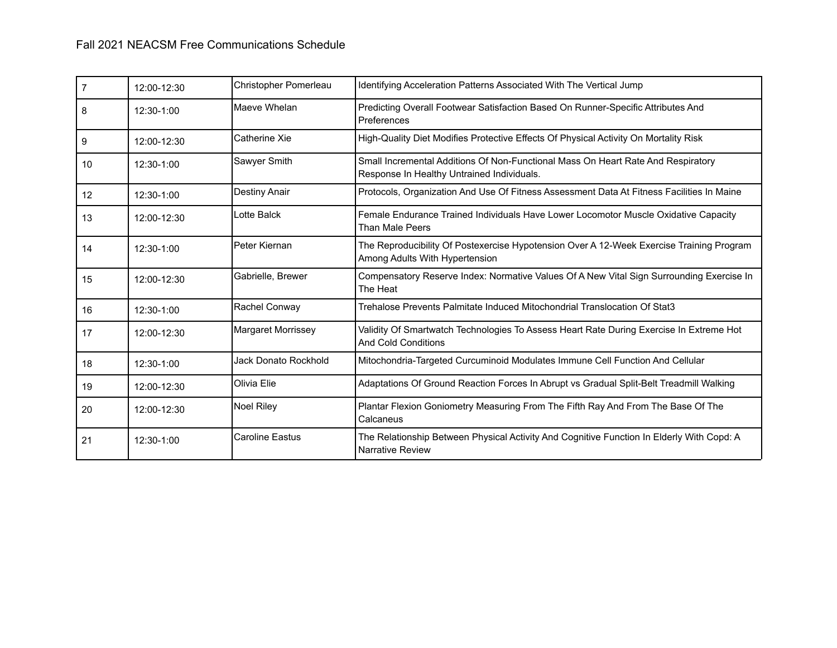| 7  | 12:00-12:30   | Christopher Pomerleau  | Identifying Acceleration Patterns Associated With The Vertical Jump                                                            |
|----|---------------|------------------------|--------------------------------------------------------------------------------------------------------------------------------|
| 8  | 12:30-1:00    | Maeve Whelan           | Predicting Overall Footwear Satisfaction Based On Runner-Specific Attributes And<br>Preferences                                |
| 9  | 12:00-12:30   | Catherine Xie          | High-Quality Diet Modifies Protective Effects Of Physical Activity On Mortality Risk                                           |
| 10 | 12:30-1:00    | Sawyer Smith           | Small Incremental Additions Of Non-Functional Mass On Heart Rate And Respiratory<br>Response In Healthy Untrained Individuals. |
| 12 | 12:30-1:00    | Destiny Anair          | Protocols, Organization And Use Of Fitness Assessment Data At Fitness Facilities In Maine                                      |
| 13 | 12:00-12:30   | Lotte Balck            | Female Endurance Trained Individuals Have Lower Locomotor Muscle Oxidative Capacity<br>Than Male Peers                         |
| 14 | 12:30-1:00    | Peter Kiernan          | The Reproducibility Of Postexercise Hypotension Over A 12-Week Exercise Training Program<br>Among Adults With Hypertension     |
| 15 | $12:00-12:30$ | Gabrielle, Brewer      | Compensatory Reserve Index: Normative Values Of A New Vital Sign Surrounding Exercise In<br>The Heat                           |
| 16 | 12:30-1:00    | Rachel Conway          | Trehalose Prevents Palmitate Induced Mitochondrial Translocation Of Stat3                                                      |
| 17 | 12:00-12:30   | Margaret Morrissey     | Validity Of Smartwatch Technologies To Assess Heart Rate During Exercise In Extreme Hot<br><b>And Cold Conditions</b>          |
| 18 | 12:30-1:00    | Jack Donato Rockhold   | Mitochondria-Targeted Curcuminoid Modulates Immune Cell Function And Cellular                                                  |
| 19 | 12:00-12:30   | Olivia Elie            | Adaptations Of Ground Reaction Forces In Abrupt vs Gradual Split-Belt Treadmill Walking                                        |
| 20 | 12:00-12:30   | <b>Noel Riley</b>      | Plantar Flexion Goniometry Measuring From The Fifth Ray And From The Base Of The<br>Calcaneus                                  |
| 21 | 12:30-1:00    | <b>Caroline Eastus</b> | The Relationship Between Physical Activity And Cognitive Function In Elderly With Copd: A<br><b>Narrative Review</b>           |